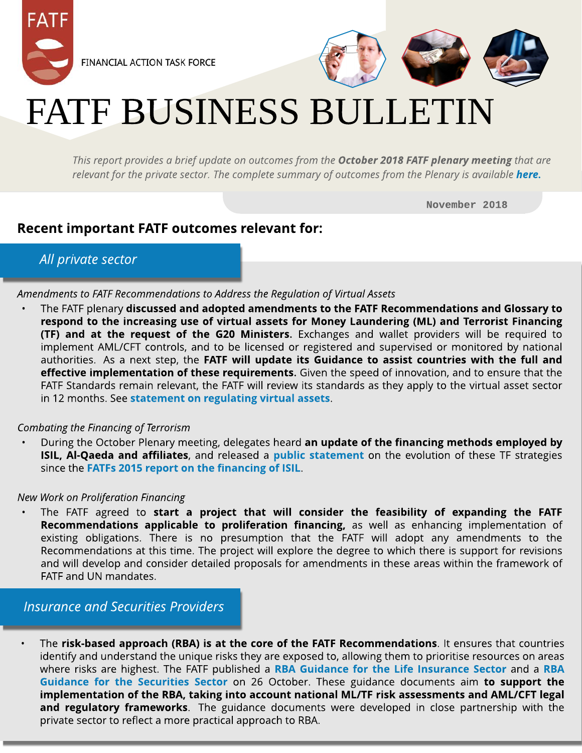



# FATF BUSINESS BULLETIN

**Thisreport providesa brief update on outcomesfrom the October 2018 FATF plenary meeting that are** *relevant for the private sector. The complete summary of outcomes from the Plenary is available [here](http://www.fatf-gafi.org/publications/fatfgeneral/documents/outcomes-plenary-october-2018.html)[.](http://www.fatf-gafi.org/publications/fatfgeneral/documents/outcomes-plenary-june-2018.html)* 

November 2018

## Recent important FATF outcomes relevant for:

## **All private sector**

**Amendmentsto FATFRecommendationsto Addressthe Regulation of Virtual Assets**

The FATF plenary discussed and adopted amendments to the FATF Recommendations and Glossary to respond to the increasing use of virtual assets for Money Laundering (ML) and Terrorist Financing (TF) and at the request of the G20 Ministers. Exchanges and wallet providers will be required to implement AML/CFT controls, and to be licensed or registered and supervised or monitored by national authorities. As a next step, the FATF will update its Guidance to assist countries with the full and effective implementation of these requirements. Given the speed of innovation, and to ensure that the FATF Standards remain relevant, the FATF will review its standards as they apply to the virtual asset sector in 12 months. See statem[ent](http://www.fatf-gafi.org/publications/fatfrecommendations/documents/regulation-virtual-assets.html) [on](http://www.fatf-gafi.org/publications/fatfrecommendations/documents/regulation-virtual-assets.html) [regulat](http://www.fatf-gafi.org/publications/fatfrecommendations/documents/regulation-virtual-assets.html)ing [virt](http://www.fatf-gafi.org/publications/fatfrecommendations/documents/regulation-virtual-assets.html)ual [asset](http://www.fatf-gafi.org/publications/fatfrecommendations/documents/regulation-virtual-assets.html)s.

#### **Combating the Financing of Terrorism**

During the October Plenary meeting, delegates heard an update of the financing methods employed by ISIL, Al-Q[a](http://www.fatf-gafi.org/publications/methodsandtrends/documents/isil-alqaeda-affiliates-financing-update.html)eda and affiliates, and released a [public](http://www.fatf-gafi.org/publications/methodsandtrends/documents/isil-alqaeda-affiliates-financing-update.html) statem[ent](http://www.fatf-gafi.org/publications/methodsandtrends/documents/isil-alqaeda-affiliates-financing-update.html) on the evolution of these TF strategies since the [FATFs](http://www.fatf-gafi.org/publications/methodsandtrends/documents/financing-of-terrorist-organisation-isil.html) [2015](http://www.fatf-gafi.org/publications/methodsandtrends/documents/financing-of-terrorist-organisation-isil.html) [report](http://www.fatf-gafi.org/publications/methodsandtrends/documents/financing-of-terrorist-organisation-isil.html) [on](http://www.fatf-gafi.org/publications/methodsandtrends/documents/financing-of-terrorist-organisation-isil.html) t[he](http://www.fatf-gafi.org/publications/methodsandtrends/documents/financing-of-terrorist-organisation-isil.html) [financing](http://www.fatf-gafi.org/publications/methodsandtrends/documents/financing-of-terrorist-organisation-isil.html) [of](http://www.fatf-gafi.org/publications/methodsandtrends/documents/financing-of-terrorist-organisation-isil.html) [ISIL](http://www.fatf-gafi.org/publications/methodsandtrends/documents/financing-of-terrorist-organisation-isil.html).

#### **New Work on Proliferation Financing**

existing obligations. There is no presumption that the FATF will adopt any amendments to the Internations at this time. The project will explore the degree to which there is support for revisions<br>and will develop and consider detailed proposals for amendments in these areas within the framework of The FATF agreed to start a project that will consider the feasibility of expanding the FATF Recommendations applicable to proliferation financing, as well as enhancing implementation of Recommendations at this time. The project will explore the degree to which there is support for revisions FATF and UN mandates.

### **Insurance and Securities Providers**

The risk-based approach (RBA) is at the core of the FATF Recommendations. It ensures that countries identify and understand the unique risks they are exposed to, allowing them to prioritise resources on [a](http://www.fatf-gafi.org/media/fatf/documents/recommendations/pdfs/RBA-Securities-Sector.pdf)reas where risks are highest. The FATF pu[b](http://www.fatf-gafi.org/media/fatf/documents/recommendations/pdfs/RBA-Securities-Sector.pdf)lished a [RBA](http://www.fatf-gafi.org/media/fatf/documents/recommendations/pdfs/RBA-Securities-Sector.pdf) [Guidance](http://www.fatf-gafi.org/media/fatf/documents/recommendations/pdfs/RBA-Life-Insurance.pdf) [for](http://www.fatf-gafi.org/media/fatf/documents/recommendations/pdfs/RBA-Life-Insurance.pdf) t[he](http://www.fatf-gafi.org/media/fatf/documents/recommendations/pdfs/RBA-Life-Insurance.pdf) [Life](http://www.fatf-gafi.org/media/fatf/documents/recommendations/pdfs/RBA-Life-Insurance.pdf) [Insurance](http://www.fatf-gafi.org/media/fatf/documents/recommendations/pdfs/RBA-Life-Insurance.pdf) [Sect](http://www.fatf-gafi.org/media/fatf/documents/recommendations/pdfs/RBA-Life-Insurance.pdf)or and a RBA [Guidance](http://www.fatf-gafi.org/media/fatf/documents/recommendations/pdfs/RBA-Securities-Sector.pdf) [for](http://www.fatf-gafi.org/media/fatf/documents/recommendations/pdfs/RBA-Securities-Sector.pdf) t[he](http://www.fatf-gafi.org/media/fatf/documents/recommendations/pdfs/RBA-Securities-Sector.pdf) [Securit](http://www.fatf-gafi.org/media/fatf/documents/recommendations/pdfs/RBA-Securities-Sector.pdf)ies [Sect](http://www.fatf-gafi.org/media/fatf/documents/recommendations/pdfs/RBA-Securities-Sector.pdf)or on 26 October. These guidance documents aim to support the implementation of the RBA, taking into account national ML/TF risk assessments and AML/CFT legal and regulatory frameworks. The guidance documents were developed in close partnership with the private sector to reflect a more practical approach to RBA.